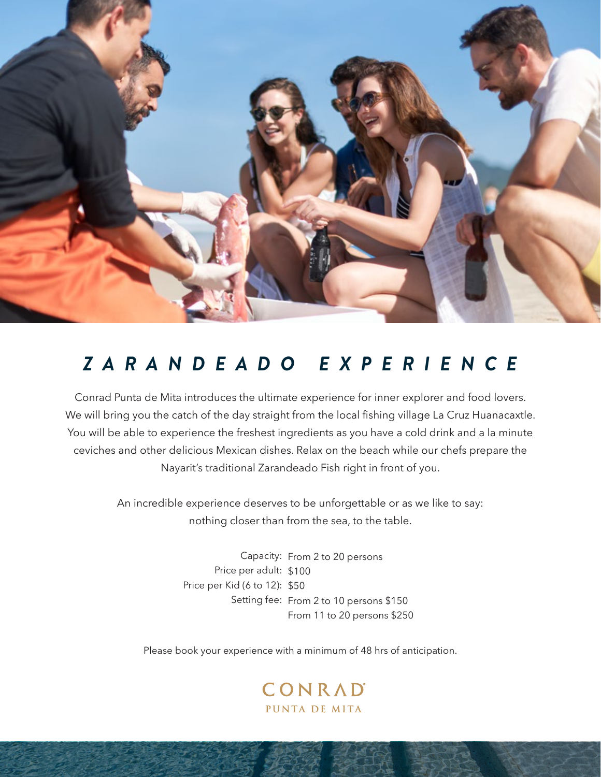

## *ZARANDEADO EXPERIENCE*

Conrad Punta de Mita introduces the ultimate experience for inner explorer and food lovers. We will bring you the catch of the day straight from the local fishing village La Cruz Huanacaxtle. You will be able to experience the freshest ingredients as you have a cold drink and a la minute ceviches and other delicious Mexican dishes. Relax on the beach while our chefs prepare the Nayarit's traditional Zarandeado Fish right in front of you.

> An incredible experience deserves to be unforgettable or as we like to say: nothing closer than from the sea, to the table.

> > Capacity: From 2 to 20 persons Price per adult: \$100 Price per Kid (6 to 12): \$50 Setting fee: From 2 to 10 persons \$150 From 11 to 20 persons \$250

Please book your experience with a minimum of 48 hrs of anticipation.

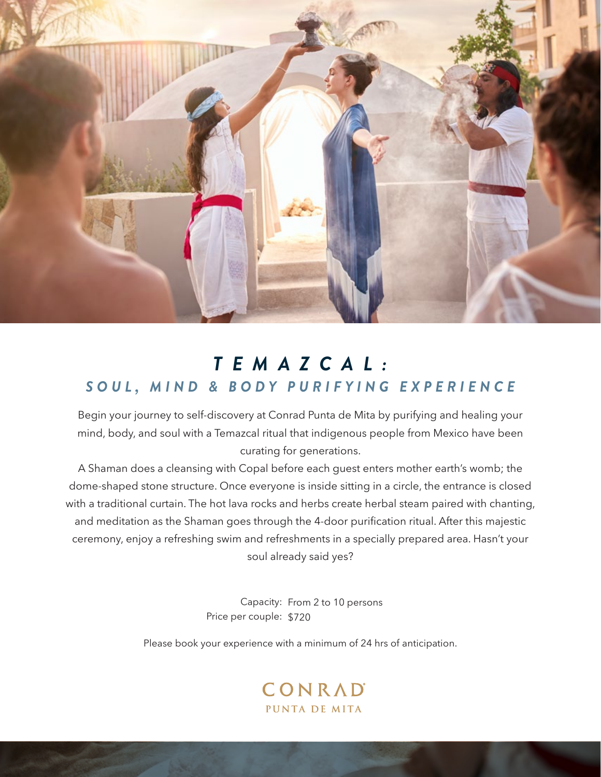

## *TEMAZCAL: SOUL, MIND & BODY PURIFYING EXPERIENCE*

Begin your journey to self-discovery at Conrad Punta de Mita by purifying and healing your mind, body, and soul with a Temazcal ritual that indigenous people from Mexico have been curating for generations.

A Shaman does a cleansing with Copal before each guest enters mother earth's womb; the dome-shaped stone structure. Once everyone is inside sitting in a circle, the entrance is closed with a traditional curtain. The hot lava rocks and herbs create herbal steam paired with chanting, and meditation as the Shaman goes through the 4-door purification ritual. After this majestic ceremony, enjoy a refreshing swim and refreshments in a specially prepared area. Hasn't your soul already said yes?

> Capacity: From 2 to 10 persons Price per couple: \$720

Please book your experience with a minimum of 24 hrs of anticipation.